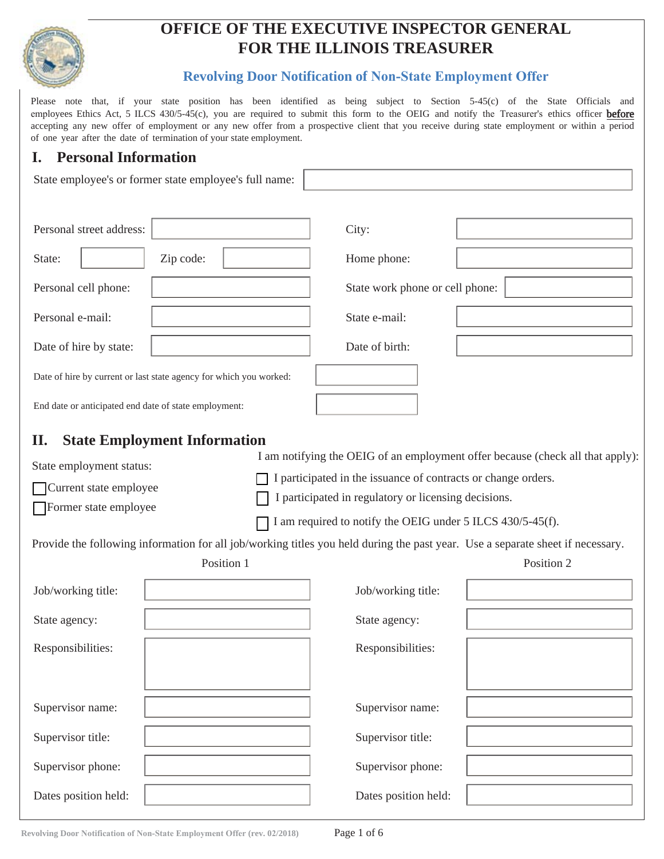

# **OFFICE OF THE EXECUTIVE INSPECTOR GENERAL FOR THE ILLINOIS TREASURER**

#### **Revolving Door Notification of Non-State Employment Offer**

Please note that, if your state position has been identified as being subject to Section 5-45(c) of the State Officials and employees Ethics Act, 5 ILCS 430/5-45(c), you are required to submit this form to the OEIG and notify the Treasurer's ethics officer before accepting any new offer of employment or any new offer from a prospective client that you receive during state employment or within a period of one year after the date of termination of your state employment.

## **I. Personal Information**

| State employee's or former state employee's full name:                                                                                        |                                                                                                                                                                                     |                                                                                                                                                                                                                                               |                                                                                              |  |  |  |  |
|-----------------------------------------------------------------------------------------------------------------------------------------------|-------------------------------------------------------------------------------------------------------------------------------------------------------------------------------------|-----------------------------------------------------------------------------------------------------------------------------------------------------------------------------------------------------------------------------------------------|----------------------------------------------------------------------------------------------|--|--|--|--|
| Personal street address:                                                                                                                      |                                                                                                                                                                                     | City:                                                                                                                                                                                                                                         |                                                                                              |  |  |  |  |
| State:                                                                                                                                        | Zip code:                                                                                                                                                                           | Home phone:                                                                                                                                                                                                                                   |                                                                                              |  |  |  |  |
| Personal cell phone:                                                                                                                          |                                                                                                                                                                                     | State work phone or cell phone:                                                                                                                                                                                                               |                                                                                              |  |  |  |  |
| Personal e-mail:                                                                                                                              |                                                                                                                                                                                     | State e-mail:                                                                                                                                                                                                                                 |                                                                                              |  |  |  |  |
| Date of hire by state:                                                                                                                        |                                                                                                                                                                                     | Date of birth:                                                                                                                                                                                                                                |                                                                                              |  |  |  |  |
|                                                                                                                                               | Date of hire by current or last state agency for which you worked:                                                                                                                  |                                                                                                                                                                                                                                               |                                                                                              |  |  |  |  |
| End date or anticipated end date of state employment:                                                                                         |                                                                                                                                                                                     |                                                                                                                                                                                                                                               |                                                                                              |  |  |  |  |
| П.<br>State employment status:<br>Current state employee<br>Former state employee<br>Job/working title:<br>State agency:<br>Responsibilities: | <b>State Employment Information</b><br>Provide the following information for all job/working titles you held during the past year. Use a separate sheet if necessary.<br>Position 1 | I participated in the issuance of contracts or change orders.<br>participated in regulatory or licensing decisions.<br>I am required to notify the OEIG under 5 ILCS 430/5-45(f).<br>Job/working title:<br>State agency:<br>Responsibilities: | I am notifying the OEIG of an employment offer because (check all that apply):<br>Position 2 |  |  |  |  |
| Supervisor name:                                                                                                                              |                                                                                                                                                                                     | Supervisor name:                                                                                                                                                                                                                              |                                                                                              |  |  |  |  |
| Supervisor title:                                                                                                                             |                                                                                                                                                                                     | Supervisor title:                                                                                                                                                                                                                             |                                                                                              |  |  |  |  |
| Supervisor phone:                                                                                                                             |                                                                                                                                                                                     | Supervisor phone:                                                                                                                                                                                                                             |                                                                                              |  |  |  |  |
| Dates position held:                                                                                                                          |                                                                                                                                                                                     | Dates position held:                                                                                                                                                                                                                          |                                                                                              |  |  |  |  |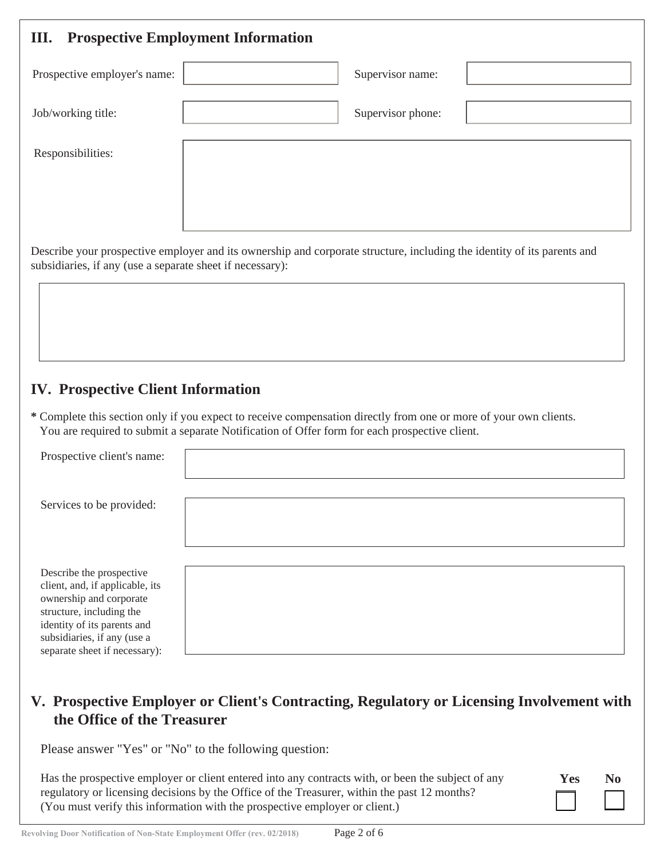| Ш.                                                        | <b>Prospective Employment Information</b>                                                                                                                                                                          |
|-----------------------------------------------------------|--------------------------------------------------------------------------------------------------------------------------------------------------------------------------------------------------------------------|
| Prospective employer's name:                              | Supervisor name:                                                                                                                                                                                                   |
| Job/working title:                                        | Supervisor phone:                                                                                                                                                                                                  |
| Responsibilities:                                         |                                                                                                                                                                                                                    |
|                                                           |                                                                                                                                                                                                                    |
|                                                           |                                                                                                                                                                                                                    |
| subsidiaries, if any (use a separate sheet if necessary): | Describe your prospective employer and its ownership and corporate structure, including the identity of its parents and                                                                                            |
| <b>IV. Prospective Client Information</b>                 |                                                                                                                                                                                                                    |
|                                                           | * Complete this section only if you expect to receive compensation directly from one or more of your own clients.<br>You are required to submit a separate Notification of Offer form for each prospective client. |
| Prospective client's name:                                |                                                                                                                                                                                                                    |
| Services to be provided:                                  |                                                                                                                                                                                                                    |

Describe the prospective client, and, if applicable, its ownership and corporate structure, including the identity of its parents and subsidiaries, if any (use a separate sheet if necessary):

# **V. Prospective Employer or Client's Contracting, Regulatory or Licensing Involvement with the Office of the Treasurer**

Please answer "Yes" or "No" to the following question:

Has the prospective employer or client entered into any contracts with, or been the subject of any regulatory or licensing decisions by the Office of the Treasurer, within the past 12 months? (You must verify this information with the prospective employer or client.)

| Yes | N <sub>0</sub> |  |
|-----|----------------|--|
|     |                |  |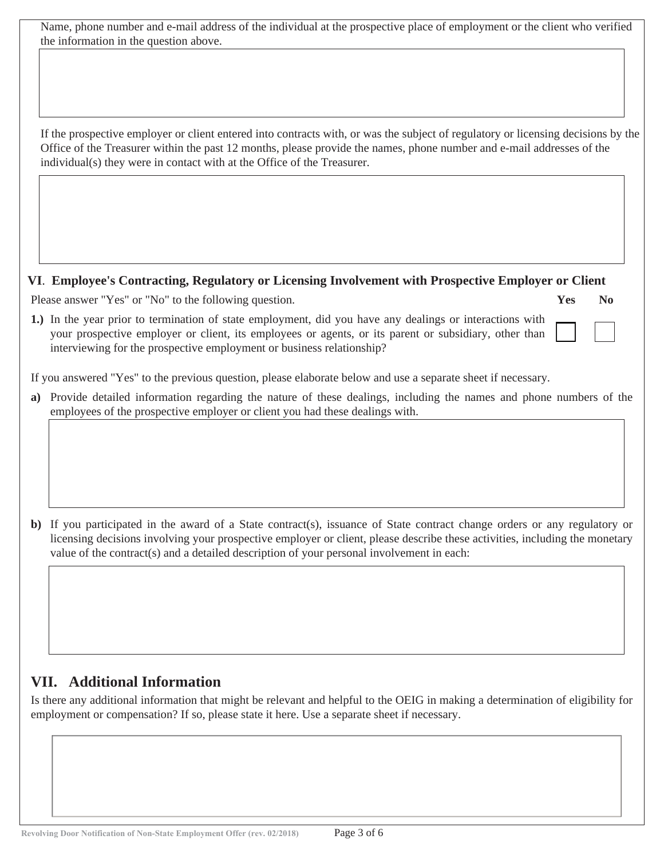Name, phone number and e-mail address of the individual at the prospective place of employment or the client who verified the information in the question above.

If the prospective employer or client entered into contracts with, or was the subject of regulatory or licensing decisions by the Office of the Treasurer within the past 12 months, please provide the names, phone number and e-mail addresses of the individual(s) they were in contact with at the Office of the Treasurer.

#### **VI**. **Employee's Contracting, Regulatory or Licensing Involvement with Prospective Employer or Client**

 **Yes No**

Please answer "Yes" or "No" to the following question.

1.) In the year prior to termination of state employment, did you have any dealings or interactions with your prospective employer or client, its employees or agents, or its parent or subsidiary, other than interviewing for the prospective employment or business relationship?

If you answered "Yes" to the previous question, please elaborate below and use a separate sheet if necessary.

Provide detailed information regarding the nature of these dealings, including the names and phone numbers of the **a)** employees of the prospective employer or client you had these dealings with.

**b)** If you participated in the award of a State contract(s), issuance of State contract change orders or any regulatory or licensing decisions involving your prospective employer or client, please describe these activities, including the monetary value of the contract(s) and a detailed description of your personal involvement in each:

# **VII. Additional Information**

Is there any additional information that might be relevant and helpful to the OEIG in making a determination of eligibility for employment or compensation? If so, please state it here. Use a separate sheet if necessary.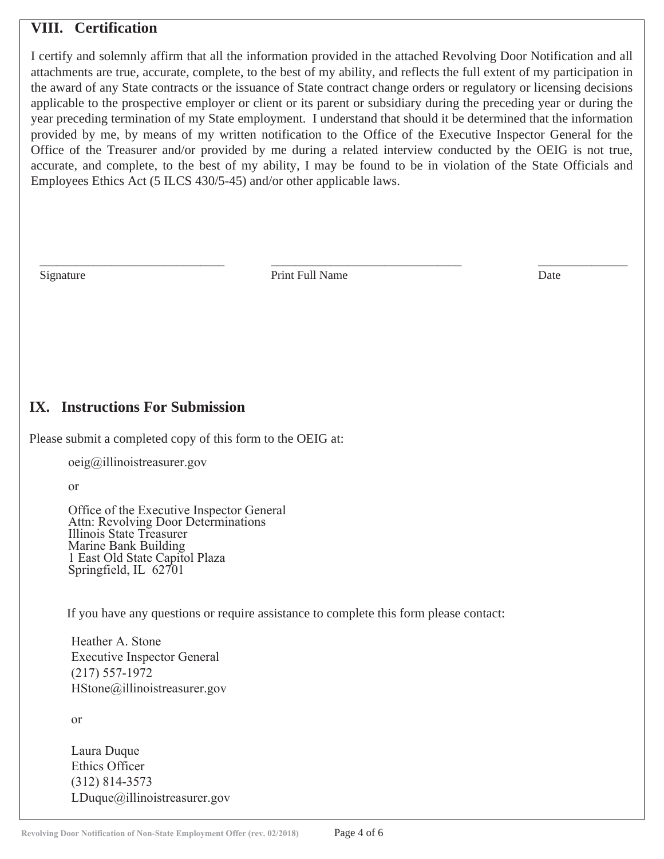### **VIII. Certification**

I certify and solemnly affirm that all the information provided in the attached Revolving Door Notification and all attachments are true, accurate, complete, to the best of my ability, and reflects the full extent of my participation in the award of any State contracts or the issuance of State contract change orders or regulatory or licensing decisions applicable to the prospective employer or client or its parent or subsidiary during the preceding year or during the year preceding termination of my State employment. I understand that should it be determined that the information provided by me, by means of my written notification to the Office of the Executive Inspector General for the Office of the Treasurer and/or provided by me during a related interview conducted by the OEIG is not true, accurate, and complete, to the best of my ability, I may be found to be in violation of the State Officials and Employees Ethics Act (5 ILCS 430/5-45) and/or other applicable laws.

Signature Date Print Full Name Date Date

 $\frac{1}{2}$  ,  $\frac{1}{2}$  ,  $\frac{1}{2}$  ,  $\frac{1}{2}$  ,  $\frac{1}{2}$  ,  $\frac{1}{2}$  ,  $\frac{1}{2}$  ,  $\frac{1}{2}$  ,  $\frac{1}{2}$  ,  $\frac{1}{2}$  ,  $\frac{1}{2}$  ,  $\frac{1}{2}$  ,  $\frac{1}{2}$  ,  $\frac{1}{2}$  ,  $\frac{1}{2}$  ,  $\frac{1}{2}$  ,  $\frac{1}{2}$  ,  $\frac{1}{2}$  ,  $\frac{1$ 

### **IX. Instructions For Submission**

Please submit a completed copy of this form to the OEIG at:

oeig@illinoistreasurer.gov

or

Office of the Executive Inspector General Attn: Revolving Door Determinations Illinois State Treasurer Marine Bank Building 1 East Old State Capitol Plaza Springfield, IL 62701

If you have any questions or require assistance to complete this form please contact:

Heather A. Stone Executive Inspector General (217) 557-1972 HStone@illinoistreasurer.gov

or

Laura Duque Ethics Officer (312) 814-3573 LDuque@illinoistreasurer.gov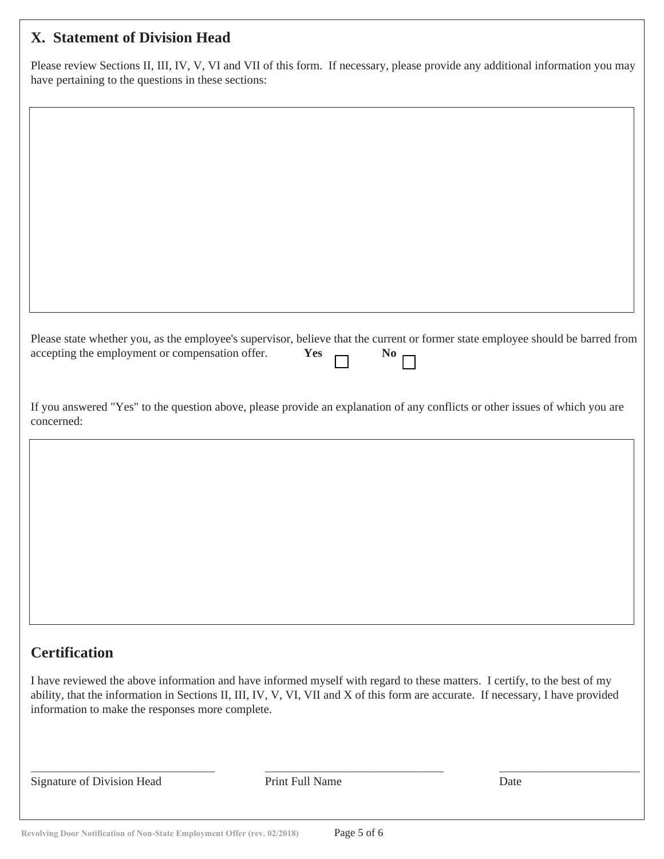# **X. Statement of Division Head**

Please review Sections II, III, IV, V, VI and VII of this form. If necessary, please provide any additional information you may have pertaining to the questions in these sections:

| Please state whether you, as the employee's supervisor, believe that the current or former state employee should be barred from<br>accepting the employment or compensation offer.                                                                                                                                | Yes             | N <sub>0</sub> |      |
|-------------------------------------------------------------------------------------------------------------------------------------------------------------------------------------------------------------------------------------------------------------------------------------------------------------------|-----------------|----------------|------|
| If you answered "Yes" to the question above, please provide an explanation of any conflicts or other issues of which you are<br>concerned:                                                                                                                                                                        |                 |                |      |
|                                                                                                                                                                                                                                                                                                                   |                 |                |      |
|                                                                                                                                                                                                                                                                                                                   |                 |                |      |
|                                                                                                                                                                                                                                                                                                                   |                 |                |      |
|                                                                                                                                                                                                                                                                                                                   |                 |                |      |
| <b>Certification</b>                                                                                                                                                                                                                                                                                              |                 |                |      |
| I have reviewed the above information and have informed myself with regard to these matters. I certify, to the best of my<br>ability, that the information in Sections II, III, IV, V, VI, VII and X of this form are accurate. If necessary, I have provided<br>information to make the responses more complete. |                 |                |      |
| Signature of Division Head                                                                                                                                                                                                                                                                                        | Print Full Name |                | Date |